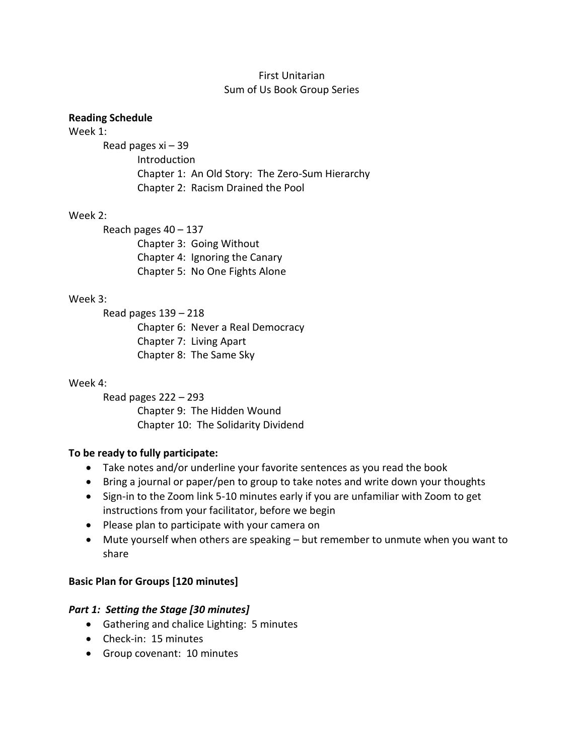### First Unitarian Sum of Us Book Group Series

#### **Reading Schedule**

#### Week 1:

Read pages xi – 39 Introduction Chapter 1: An Old Story: The Zero-Sum Hierarchy Chapter 2: Racism Drained the Pool

### Week 2:

Reach pages 40 – 137 Chapter 3: Going Without Chapter 4: Ignoring the Canary Chapter 5: No One Fights Alone

### Week 3:

Read pages 139 – 218 Chapter 6: Never a Real Democracy Chapter 7: Living Apart Chapter 8: The Same Sky

### Week 4:

Read pages 222 – 293 Chapter 9: The Hidden Wound Chapter 10: The Solidarity Dividend

# **To be ready to fully participate:**

- Take notes and/or underline your favorite sentences as you read the book
- Bring a journal or paper/pen to group to take notes and write down your thoughts
- Sign-in to the Zoom link 5-10 minutes early if you are unfamiliar with Zoom to get instructions from your facilitator, before we begin
- Please plan to participate with your camera on
- Mute yourself when others are speaking but remember to unmute when you want to share

# **Basic Plan for Groups [120 minutes]**

### *Part 1: Setting the Stage [30 minutes]*

- Gathering and chalice Lighting: 5 minutes
- Check-in: 15 minutes
- Group covenant: 10 minutes